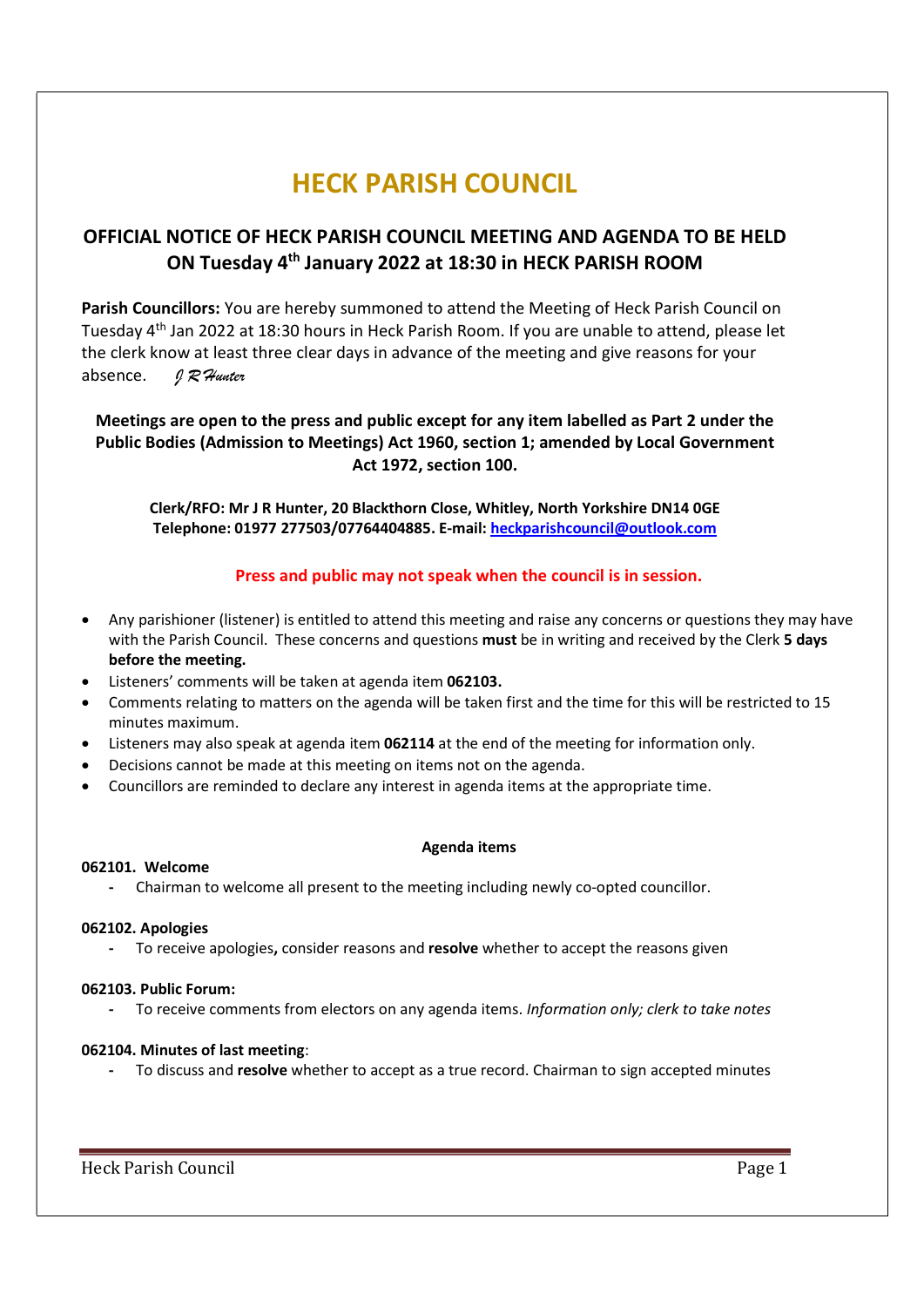# HECK PARISH COUNCIL

### OFFICIAL NOTICE OF HECK PARISH COUNCIL MEETING AND AGENDA TO BE HELD ON Tuesday 4th January 2022 at 18:30 in HECK PARISH ROOM

Parish Councillors: You are hereby summoned to attend the Meeting of Heck Parish Council on Tuesday 4th Jan 2022 at 18:30 hours in Heck Parish Room. If you are unable to attend, please let the clerk know at least three clear days in advance of the meeting and give reasons for your absence.  $97$  Hunter

Meetings are open to the press and public except for any item labelled as Part 2 under the Public Bodies (Admission to Meetings) Act 1960, section 1; amended by Local Government Act 1972, section 100.

Clerk/RFO: Mr J R Hunter, 20 Blackthorn Close, Whitley, North Yorkshire DN14 0GE Telephone: 01977 277503/07764404885. E-mail: heckparishcouncil@outlook.com

#### Press and public may not speak when the council is in session.

- Any parishioner (listener) is entitled to attend this meeting and raise any concerns or questions they may have with the Parish Council. These concerns and questions must be in writing and received by the Clerk 5 days before the meeting.
- Listeners' comments will be taken at agenda item 062103.
- Comments relating to matters on the agenda will be taken first and the time for this will be restricted to 15 minutes maximum.
- Listeners may also speak at agenda item **062114** at the end of the meeting for information only.
- Decisions cannot be made at this meeting on items not on the agenda.
- Councillors are reminded to declare any interest in agenda items at the appropriate time.

#### Agenda items

#### 062101. Welcome

- Chairman to welcome all present to the meeting including newly co-opted councillor.

#### 062102. Apologies

To receive apologies, consider reasons and resolve whether to accept the reasons given

#### 062103. Public Forum:

To receive comments from electors on any agenda items. Information only; clerk to take notes

#### 062104. Minutes of last meeting:

- To discuss and resolve whether to accept as a true record. Chairman to sign accepted minutes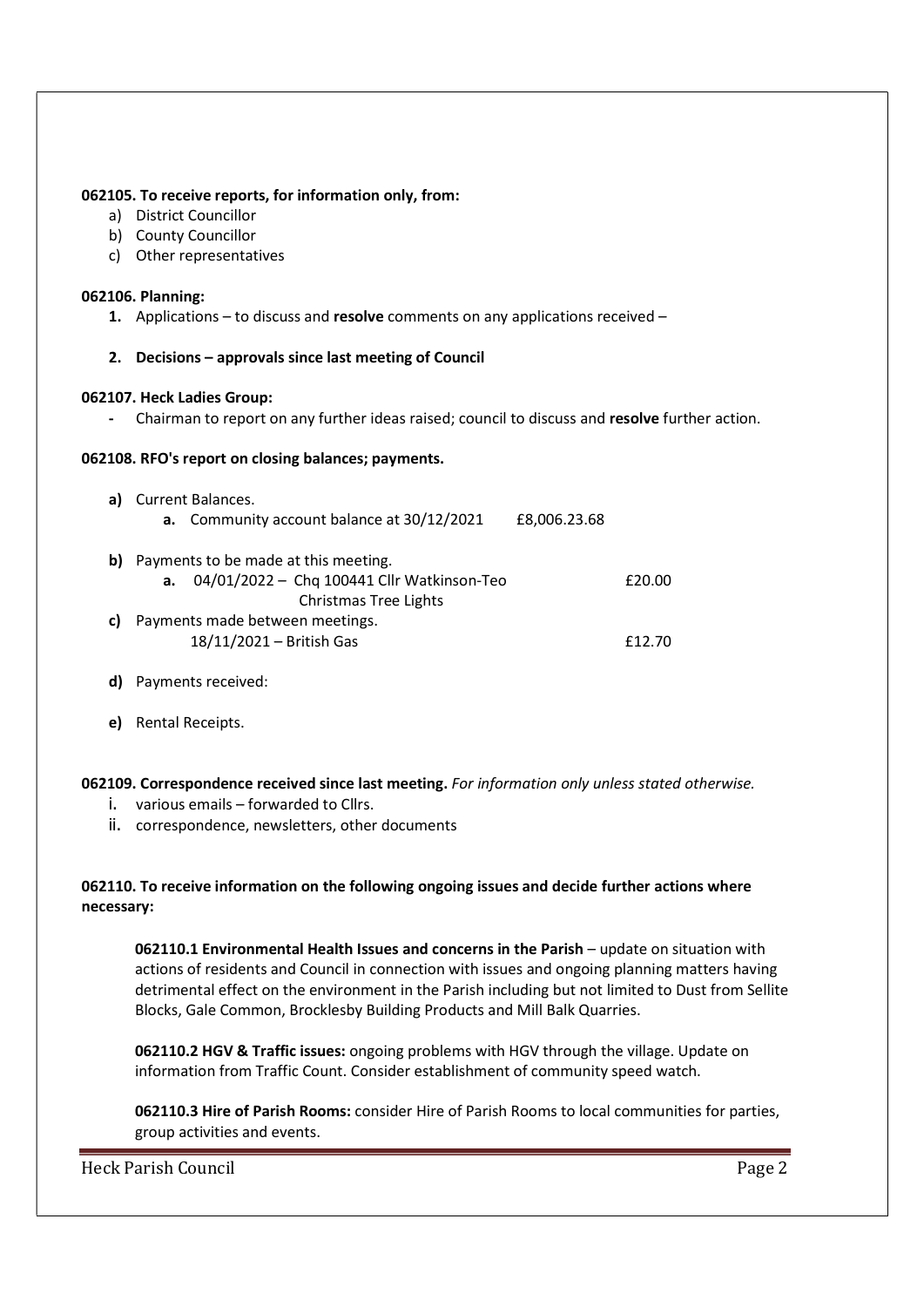#### 062105. To receive reports, for information only, from:

- a) District Councillor
- b) County Councillor
- c) Other representatives

#### 062106. Planning:

- 1. Applications to discuss and resolve comments on any applications received –
- 2. Decisions approvals since last meeting of Council

#### 062107. Heck Ladies Group:

- Chairman to report on any further ideas raised; council to discuss and resolve further action.

#### 062108. RFO's report on closing balances; payments.

| a) - | Current Balances.                    |                                                 |              |        |
|------|--------------------------------------|-------------------------------------------------|--------------|--------|
|      |                                      | a. Community account balance at 30/12/2021      | £8,006.23.68 |        |
| b)   | Payments to be made at this meeting. |                                                 |              |        |
|      |                                      | a. $04/01/2022 -$ Chq 100441 Cllr Watkinson-Teo |              | £20.00 |
|      |                                      | <b>Christmas Tree Lights</b>                    |              |        |
| c)   |                                      | Payments made between meetings.                 |              |        |
|      |                                      | 18/11/2021 - British Gas                        |              | £12.70 |

- d) Payments received:
- e) Rental Receipts.

#### 062109. Correspondence received since last meeting. For information only unless stated otherwise.

- i. various emails forwarded to Cllrs.
- ii. correspondence, newsletters, other documents

#### 062110. To receive information on the following ongoing issues and decide further actions where necessary:

062110.1 Environmental Health Issues and concerns in the Parish – update on situation with actions of residents and Council in connection with issues and ongoing planning matters having detrimental effect on the environment in the Parish including but not limited to Dust from Sellite Blocks, Gale Common, Brocklesby Building Products and Mill Balk Quarries.

062110.2 HGV & Traffic issues: ongoing problems with HGV through the village. Update on information from Traffic Count. Consider establishment of community speed watch.

062110.3 Hire of Parish Rooms: consider Hire of Parish Rooms to local communities for parties, group activities and events.

Heck Parish Council **Page 2**